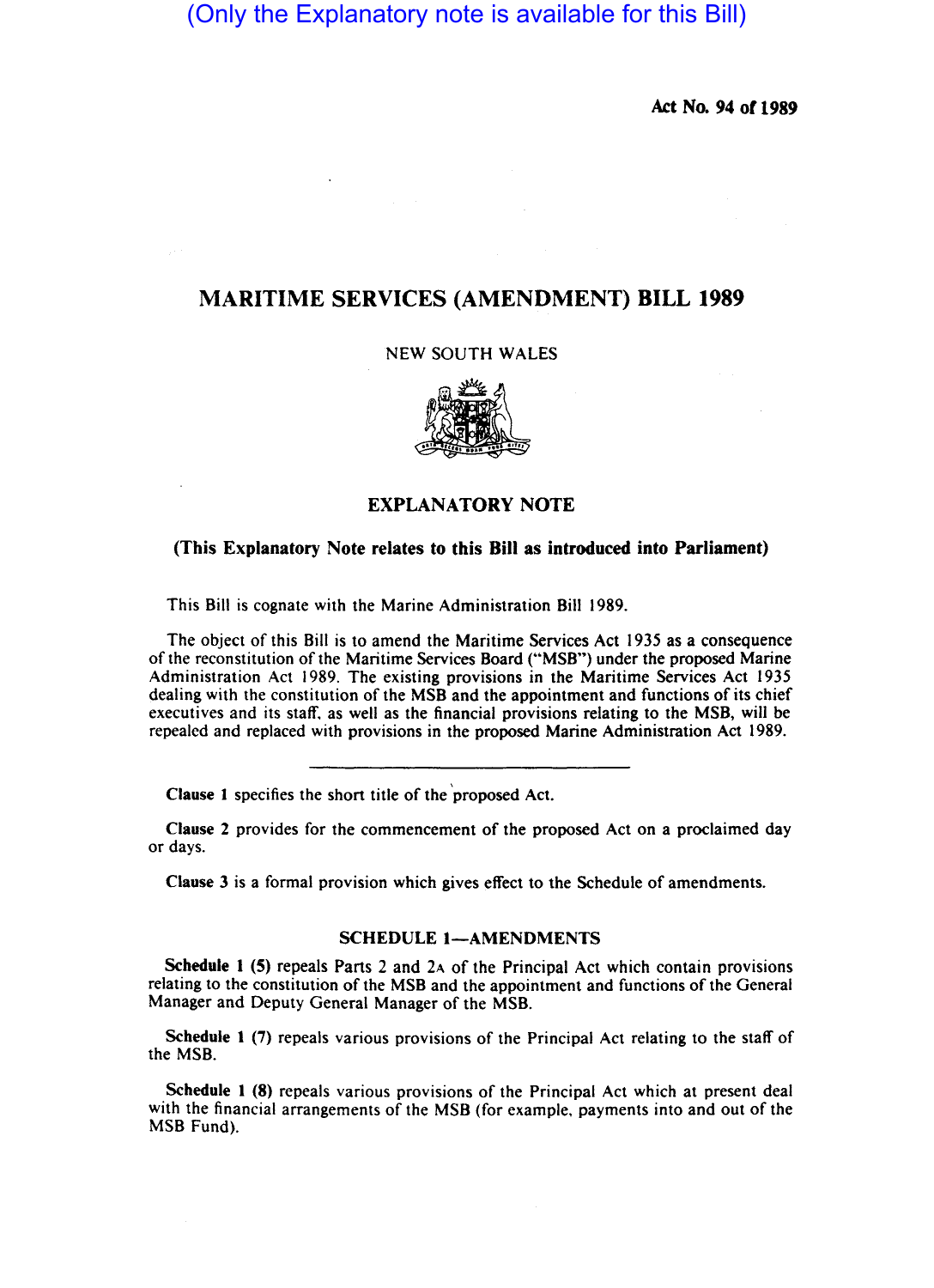# (Only the Explanatory note is available for this Bill)

Act No. 94 or 1989

## MARITIME SERVICES (AMENDMENT) BILL 1989

### NEW SOUTH WALES



## EXPLANATORY NOTE

#### (This Explanatory Note relates to this Bill as introduced into Parliament)

This Bill is cognate with the Marine Administration Bill 1989.

The object of this Bill is to amend the Maritime Services Act 1935 as a consequence of the reconstitution of the Maritime Services Board ("MSB") under the proposed Marine Administration Act 1989. The existing provisions in the Maritime Services Act 1935 dealing with the constitution of the MSB and the appointment and functions of its chief executives and its staff, as well as the financial provisions relating to the MSB, will be repealed and replaced with provisions in the proposed Marine Administration Act 1989.

Clause 1 specifies the short title of the 'proposed Act.

Clause 2 provides for the commencement of the proposed Act on a proclaimed day or days.

Clause 3 is a formal provision which gives effect to the Schedule of amendments.

#### SCHEDULE 1-AMENDMENTS

Schedule 1 (5) repeals Parts 2 and 2A of the Principal Act which contain provisions relating to the constitution of the MSB and the appointment and functions of the General Manager and Deputy General Manager of the MSB.

Schedule 1 (7) repeals various provisions of the Principal Act relating to the staff of the MSB.

Schedule 1 (8) repeals various provisions of the Principal Act which at present deal with the financial arrangements of the MSB (for example, payments into and out of the MSB Fund).